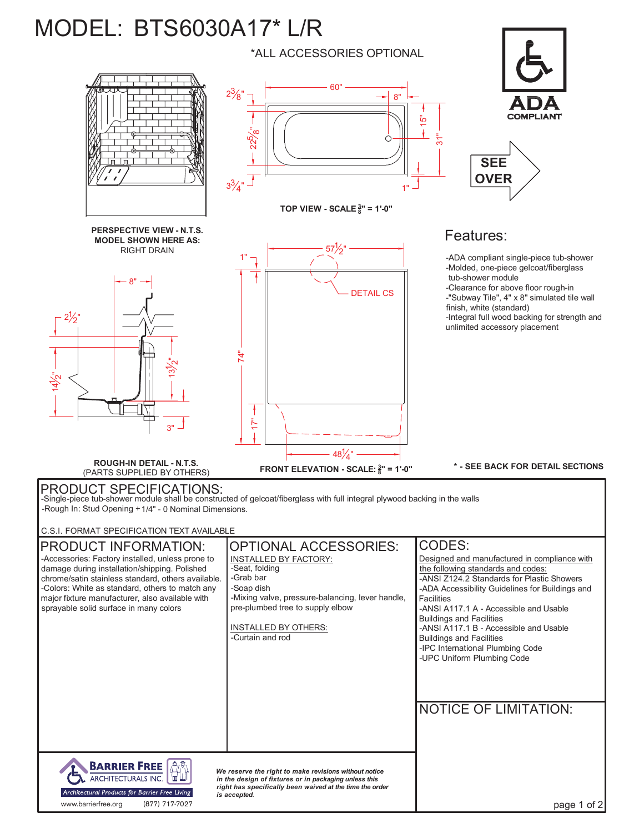## MODEL: BTS6030A17\* L/R

\*ALL ACCESSORIES OPTIONAL

60"

**TOP VIEW - SCALE <sup>3</sup> 8" = 1'-0"**

571  $2"$ 

DETAIL CS

1"

8"

مة<br>-

...<br>~

**FRONT ELEVATION - SCALE: <sup>3</sup> 8" = 1'-0"**

48 $\frac{1}{4}$ "



**SEE OVER**

## Features:

-ADA compliant single-piece tub-shower -Molded, one-piece gelcoat/fiberglass tub-shower module -Clearance for above floor rough-in -"Subway Tile", 4" x 8" simulated tile wall finish, white (standard) -Integral full wood backing for strength and unlimited accessory placement

**\* - SEE BACK FOR DETAIL SECTIONS**

**ROUGH-IN DETAIL - N.T.S.** (PARTS SUPPLIED BY OTHERS)

**PERSPECTIVE VIEW - N.T.S. MODEL SHOWN HERE AS:** RIGHT DRAIN

8"

بقع .<br>-<br>2

 $3"$   $-$ 

 $\vec{A}$ 

 $\begin{bmatrix} 2^1 \\ 1 \\ 2^1 \\ 2^2 \end{bmatrix}$ 

 $2\frac{1}{2}$ 

PRODUCT SPECIFICATIONS: -Single-piece tub-shower module shall be constructed of gelcoat/fiberglass with full integral plywood backing in the walls -Rough In: Stud Opening +1/4" - 0 Nominal Dimensions.

 $\sum_{i=1}^{n}$ 

ł

1"

 $2\frac{3}{8}$ "

 $3\frac{3}{4}$ "

225 ံံထ

.<br>ל

C.S.I. FORMAT SPECIFICATION TEXT AVAILABLE

| <b>PRODUCT INFORMATION:</b>                                                                        | <b>OPTIONAL ACCESSORIES:</b>                                                                                      | <b>CODES:</b>                                                        |
|----------------------------------------------------------------------------------------------------|-------------------------------------------------------------------------------------------------------------------|----------------------------------------------------------------------|
| -Accessories: Factory installed, unless prone to                                                   | INSTALLED BY FACTORY:                                                                                             | Designed and manufactured in compliance with                         |
| damage during installation/shipping. Polished                                                      | -Seat, folding                                                                                                    | the following standards and codes:                                   |
| chrome/satin stainless standard, others available.                                                 | -Grab bar<br>-Soap dish                                                                                           | -ANSI Z124.2 Standards for Plastic Showers                           |
| -Colors: White as standard, others to match any<br>major fixture manufacturer, also available with | -Mixing valve, pressure-balancing, lever handle,                                                                  | -ADA Accessibility Guidelines for Buildings and<br><b>Facilities</b> |
| sprayable solid surface in many colors                                                             | pre-plumbed tree to supply elbow                                                                                  | -ANSI A117.1 A - Accessible and Usable                               |
|                                                                                                    |                                                                                                                   | <b>Buildings and Facilities</b>                                      |
|                                                                                                    | INSTALLED BY OTHERS:                                                                                              | -ANSI A117.1 B - Accessible and Usable                               |
|                                                                                                    | -Curtain and rod                                                                                                  | <b>Buildings and Facilities</b>                                      |
|                                                                                                    |                                                                                                                   | -IPC International Plumbing Code                                     |
|                                                                                                    |                                                                                                                   | -UPC Uniform Plumbing Code                                           |
|                                                                                                    |                                                                                                                   |                                                                      |
|                                                                                                    |                                                                                                                   |                                                                      |
|                                                                                                    |                                                                                                                   |                                                                      |
|                                                                                                    |                                                                                                                   | <b>NOTICE OF LIMITATION:</b>                                         |
|                                                                                                    |                                                                                                                   |                                                                      |
|                                                                                                    |                                                                                                                   |                                                                      |
|                                                                                                    |                                                                                                                   |                                                                      |
|                                                                                                    |                                                                                                                   |                                                                      |
| <b>BARRIER FREE</b>                                                                                | We reserve the right to make revisions without notice                                                             |                                                                      |
| <b>ARCHITECTURALS INC.</b>                                                                         | in the design of fixtures or in packaging unless this<br>right has specifically been waived at the time the order |                                                                      |
| Architectural Products for Barrier Free Living                                                     | is accepted.                                                                                                      |                                                                      |
| (877) 717-7027<br>www.barrierfree.org                                                              |                                                                                                                   | page 1 of 2                                                          |